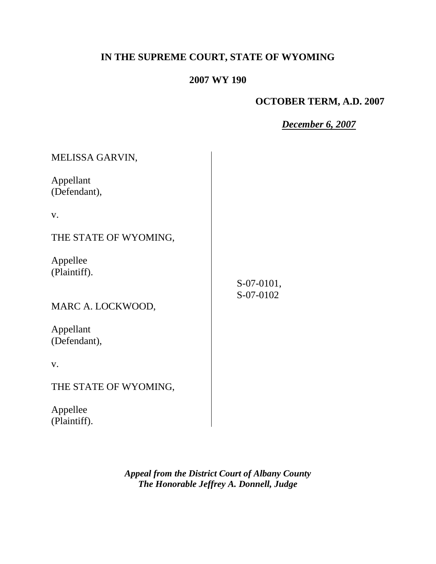# **IN THE SUPREME COURT, STATE OF WYOMING**

# **2007 WY 190**

## **OCTOBER TERM, A.D. 2007**

*December 6, 2007*

| MELISSA GARVIN,           |            |
|---------------------------|------------|
| Appellant<br>(Defendant), |            |
| V.                        |            |
| THE STATE OF WYOMING,     |            |
| Appellee<br>(Plaintiff).  | S-07-0101, |
| MARC A. LOCKWOOD,         | S-07-0102  |
| Appellant<br>(Defendant), |            |
| V.                        |            |
| THE STATE OF WYOMING,     |            |

Appellee (Plaintiff).

> *Appeal from the District Court of Albany County The Honorable Jeffrey A. Donnell, Judge*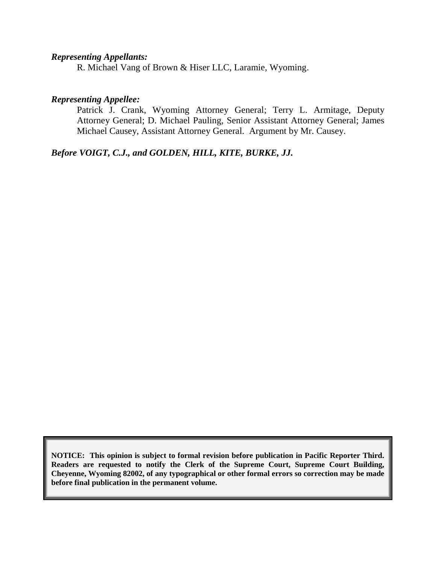#### *Representing Appellants:*

R. Michael Vang of Brown & Hiser LLC, Laramie, Wyoming.

## *Representing Appellee:*

Patrick J. Crank, Wyoming Attorney General; Terry L. Armitage, Deputy Attorney General; D. Michael Pauling, Senior Assistant Attorney General; James Michael Causey, Assistant Attorney General. Argument by Mr. Causey.

*Before VOIGT, C.J., and GOLDEN, HILL, KITE, BURKE, JJ.*

**NOTICE: This opinion is subject to formal revision before publication in Pacific Reporter Third. Readers are requested to notify the Clerk of the Supreme Court, Supreme Court Building, Cheyenne, Wyoming 82002, of any typographical or other formal errors so correction may be made before final publication in the permanent volume.**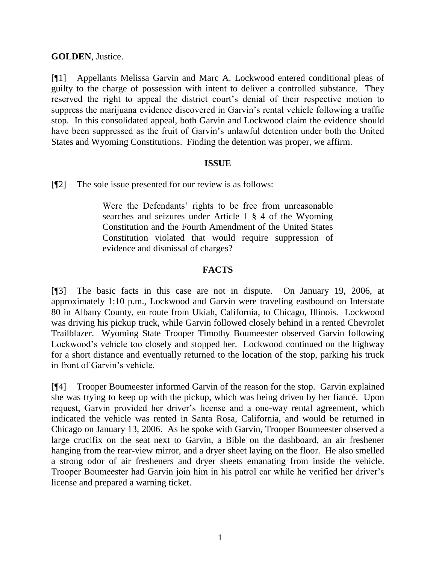## **GOLDEN**, Justice.

[¶1] Appellants Melissa Garvin and Marc A. Lockwood entered conditional pleas of guilty to the charge of possession with intent to deliver a controlled substance. They reserved the right to appeal the district court's denial of their respective motion to suppress the marijuana evidence discovered in Garvin's rental vehicle following a traffic stop. In this consolidated appeal, both Garvin and Lockwood claim the evidence should have been suppressed as the fruit of Garvin's unlawful detention under both the United States and Wyoming Constitutions. Finding the detention was proper, we affirm.

#### **ISSUE**

[¶2] The sole issue presented for our review is as follows:

Were the Defendants' rights to be free from unreasonable searches and seizures under Article 1 § 4 of the Wyoming Constitution and the Fourth Amendment of the United States Constitution violated that would require suppression of evidence and dismissal of charges?

## **FACTS**

[¶3] The basic facts in this case are not in dispute. On January 19, 2006, at approximately 1:10 p.m., Lockwood and Garvin were traveling eastbound on Interstate 80 in Albany County, en route from Ukiah, California, to Chicago, Illinois. Lockwood was driving his pickup truck, while Garvin followed closely behind in a rented Chevrolet Trailblazer. Wyoming State Trooper Timothy Boumeester observed Garvin following Lockwood"s vehicle too closely and stopped her. Lockwood continued on the highway for a short distance and eventually returned to the location of the stop, parking his truck in front of Garvin"s vehicle.

[¶4] Trooper Boumeester informed Garvin of the reason for the stop. Garvin explained she was trying to keep up with the pickup, which was being driven by her fiancé. Upon request, Garvin provided her driver"s license and a one-way rental agreement, which indicated the vehicle was rented in Santa Rosa, California, and would be returned in Chicago on January 13, 2006. As he spoke with Garvin, Trooper Boumeester observed a large crucifix on the seat next to Garvin, a Bible on the dashboard, an air freshener hanging from the rear-view mirror, and a dryer sheet laying on the floor. He also smelled a strong odor of air fresheners and dryer sheets emanating from inside the vehicle. Trooper Boumeester had Garvin join him in his patrol car while he verified her driver"s license and prepared a warning ticket.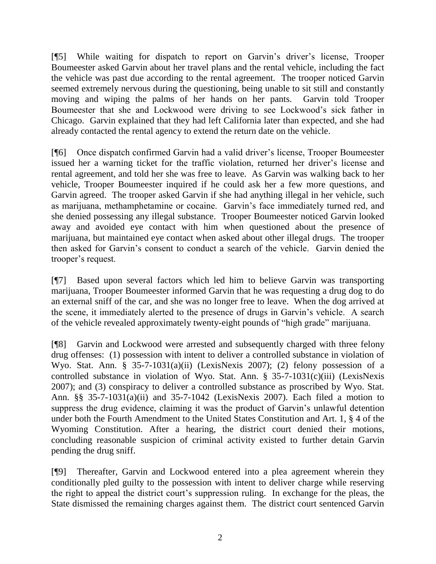[¶5] While waiting for dispatch to report on Garvin"s driver"s license, Trooper Boumeester asked Garvin about her travel plans and the rental vehicle, including the fact the vehicle was past due according to the rental agreement. The trooper noticed Garvin seemed extremely nervous during the questioning, being unable to sit still and constantly moving and wiping the palms of her hands on her pants. Garvin told Trooper Boumeester that she and Lockwood were driving to see Lockwood"s sick father in Chicago. Garvin explained that they had left California later than expected, and she had already contacted the rental agency to extend the return date on the vehicle.

[¶6] Once dispatch confirmed Garvin had a valid driver"s license, Trooper Boumeester issued her a warning ticket for the traffic violation, returned her driver"s license and rental agreement, and told her she was free to leave. As Garvin was walking back to her vehicle, Trooper Boumeester inquired if he could ask her a few more questions, and Garvin agreed. The trooper asked Garvin if she had anything illegal in her vehicle, such as marijuana, methamphetamine or cocaine. Garvin"s face immediately turned red, and she denied possessing any illegal substance. Trooper Boumeester noticed Garvin looked away and avoided eye contact with him when questioned about the presence of marijuana, but maintained eye contact when asked about other illegal drugs. The trooper then asked for Garvin"s consent to conduct a search of the vehicle. Garvin denied the trooper"s request.

[¶7] Based upon several factors which led him to believe Garvin was transporting marijuana, Trooper Boumeester informed Garvin that he was requesting a drug dog to do an external sniff of the car, and she was no longer free to leave. When the dog arrived at the scene, it immediately alerted to the presence of drugs in Garvin"s vehicle. A search of the vehicle revealed approximately twenty-eight pounds of "high grade" marijuana.

[¶8] Garvin and Lockwood were arrested and subsequently charged with three felony drug offenses: (1) possession with intent to deliver a controlled substance in violation of Wyo. Stat. Ann. § 35-7-1031(a)(ii) (LexisNexis 2007); (2) felony possession of a controlled substance in violation of Wyo. Stat. Ann. § 35-7-1031(c)(iii) (LexisNexis 2007); and (3) conspiracy to deliver a controlled substance as proscribed by Wyo. Stat. Ann. §§ 35-7-1031(a)(ii) and 35-7-1042 (LexisNexis 2007). Each filed a motion to suppress the drug evidence, claiming it was the product of Garvin"s unlawful detention under both the Fourth Amendment to the United States Constitution and Art. 1, § 4 of the Wyoming Constitution. After a hearing, the district court denied their motions, concluding reasonable suspicion of criminal activity existed to further detain Garvin pending the drug sniff.

[¶9] Thereafter, Garvin and Lockwood entered into a plea agreement wherein they conditionally pled guilty to the possession with intent to deliver charge while reserving the right to appeal the district court"s suppression ruling. In exchange for the pleas, the State dismissed the remaining charges against them. The district court sentenced Garvin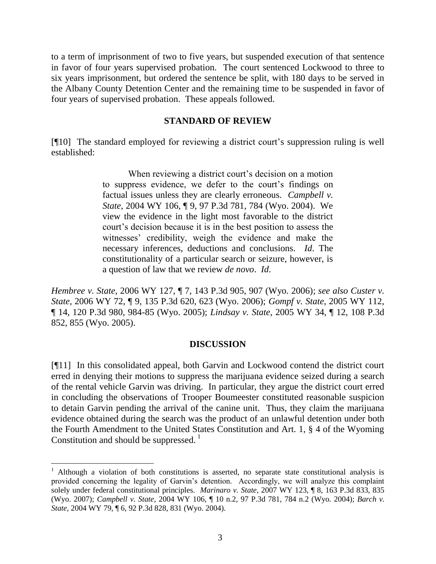to a term of imprisonment of two to five years, but suspended execution of that sentence in favor of four years supervised probation. The court sentenced Lockwood to three to six years imprisonment, but ordered the sentence be split, with 180 days to be served in the Albany County Detention Center and the remaining time to be suspended in favor of four years of supervised probation. These appeals followed.

#### **STANDARD OF REVIEW**

[¶10] The standard employed for reviewing a district court"s suppression ruling is well established:

> When reviewing a district court's decision on a motion to suppress evidence, we defer to the court's findings on factual issues unless they are clearly erroneous. *Campbell v. State*, 2004 WY 106, ¶ 9, 97 P.3d 781, 784 (Wyo. 2004). We view the evidence in the light most favorable to the district court"s decision because it is in the best position to assess the witnesses' credibility, weigh the evidence and make the necessary inferences, deductions and conclusions. *Id*. The constitutionality of a particular search or seizure, however, is a question of law that we review *de novo*. *Id*.

*Hembree v. State*, 2006 WY 127, ¶ 7, 143 P.3d 905, 907 (Wyo. 2006); *see also Custer v. State*, 2006 WY 72, ¶ 9, 135 P.3d 620, 623 (Wyo. 2006); *Gompf v. State*, 2005 WY 112, ¶ 14, 120 P.3d 980, 984-85 (Wyo. 2005); *Lindsay v. State*, 2005 WY 34, ¶ 12, 108 P.3d 852, 855 (Wyo. 2005).

#### **DISCUSSION**

[¶11] In this consolidated appeal, both Garvin and Lockwood contend the district court erred in denying their motions to suppress the marijuana evidence seized during a search of the rental vehicle Garvin was driving. In particular, they argue the district court erred in concluding the observations of Trooper Boumeester constituted reasonable suspicion to detain Garvin pending the arrival of the canine unit. Thus, they claim the marijuana evidence obtained during the search was the product of an unlawful detention under both the Fourth Amendment to the United States Constitution and Art. 1, § 4 of the Wyoming Constitution and should be suppressed.  $\frac{1}{1}$ 

 $1$  Although a violation of both constitutions is asserted, no separate state constitutional analysis is provided concerning the legality of Garvin"s detention. Accordingly, we will analyze this complaint solely under federal constitutional principles. *Marinaro v. State*, 2007 WY 123, ¶ 8, 163 P.3d 833, 835 (Wyo. 2007); *Campbell v. State*, 2004 WY 106, ¶ 10 n.2, 97 P.3d 781, 784 n.2 (Wyo. 2004); *Barch v. State*, 2004 WY 79, ¶ 6, 92 P.3d 828, 831 (Wyo. 2004).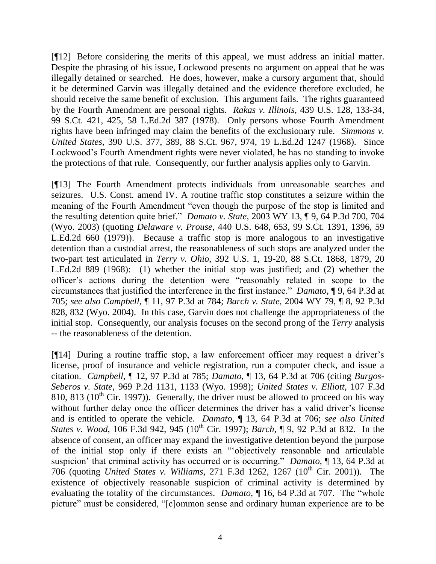[¶12] Before considering the merits of this appeal, we must address an initial matter. Despite the phrasing of his issue, Lockwood presents no argument on appeal that he was illegally detained or searched. He does, however, make a cursory argument that, should it be determined Garvin was illegally detained and the evidence therefore excluded, he should receive the same benefit of exclusion. This argument fails. The rights guaranteed by the Fourth Amendment are personal rights. *Rakas v. Illinois*, 439 U.S. 128, 133-34, 99 S.Ct. 421, 425, 58 L.Ed.2d 387 (1978). Only persons whose Fourth Amendment rights have been infringed may claim the benefits of the exclusionary rule. *Simmons v. United States*, 390 U.S. 377, 389, 88 S.Ct. 967, 974, 19 L.Ed.2d 1247 (1968). Since Lockwood"s Fourth Amendment rights were never violated, he has no standing to invoke the protections of that rule. Consequently, our further analysis applies only to Garvin.

[¶13] The Fourth Amendment protects individuals from unreasonable searches and seizures. U.S. Const. amend IV. A routine traffic stop constitutes a seizure within the meaning of the Fourth Amendment "even though the purpose of the stop is limited and the resulting detention quite brief." *Damato v. State*, 2003 WY 13, ¶ 9, 64 P.3d 700, 704 (Wyo. 2003) (quoting *Delaware v. Prouse*, 440 U.S. 648, 653, 99 S.Ct. 1391, 1396, 59 L.Ed.2d 660 (1979)). Because a traffic stop is more analogous to an investigative detention than a custodial arrest, the reasonableness of such stops are analyzed under the two-part test articulated in *Terry v. Ohio*, 392 U.S. 1, 19-20, 88 S.Ct. 1868, 1879, 20 L.Ed.2d 889 (1968): (1) whether the initial stop was justified; and (2) whether the officer"s actions during the detention were "reasonably related in scope to the circumstances that justified the interference in the first instance." *Damato,* ¶ 9, 64 P.3d at 705; *see also Campbell*, ¶ 11, 97 P.3d at 784; *Barch v. State*, 2004 WY 79, ¶ 8, 92 P.3d 828, 832 (Wyo. 2004). In this case, Garvin does not challenge the appropriateness of the initial stop. Consequently, our analysis focuses on the second prong of the *Terry* analysis -- the reasonableness of the detention.

[¶14] During a routine traffic stop, a law enforcement officer may request a driver"s license, proof of insurance and vehicle registration, run a computer check, and issue a citation. *Campbell*, ¶ 12, 97 P.3d at 785; *Damato*, ¶ 13, 64 P.3d at 706 (citing *Burgos-Seberos v. State*, 969 P.2d 1131, 1133 (Wyo. 1998); *United States v. Elliott*, 107 F.3d 810, 813 ( $10^{th}$  Cir. 1997)). Generally, the driver must be allowed to proceed on his way without further delay once the officer determines the driver has a valid driver's license and is entitled to operate the vehicle. *Damato*, ¶ 13, 64 P.3d at 706; *see also United States v. Wood*, 106 F.3d 942, 945 (10<sup>th</sup> Cir. 1997); *Barch*, ¶ 9, 92 P.3d at 832. In the absence of consent, an officer may expand the investigative detention beyond the purpose of the initial stop only if there exists an ""objectively reasonable and articulable suspicion" that criminal activity has occurred or is occurring." *Damato*, ¶ 13, 64 P.3d at 706 (quoting *United States v. Williams*, 271 F.3d 1262, 1267 (10th Cir. 2001)). The existence of objectively reasonable suspicion of criminal activity is determined by evaluating the totality of the circumstances. *Damato*, ¶ 16, 64 P.3d at 707. The "whole picture" must be considered, "[c]ommon sense and ordinary human experience are to be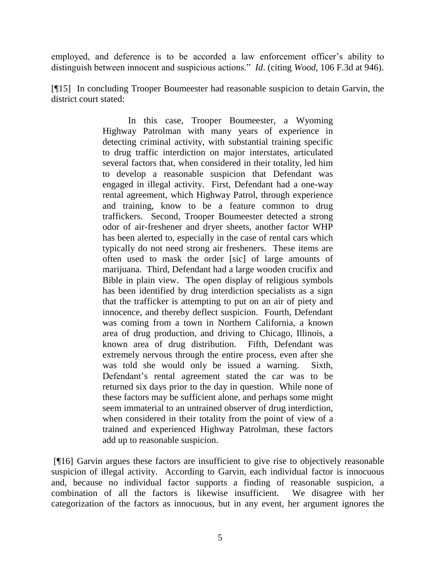employed, and deference is to be accorded a law enforcement officer's ability to distinguish between innocent and suspicious actions." *Id*. (citing *Wood*, 106 F.3d at 946).

[¶15] In concluding Trooper Boumeester had reasonable suspicion to detain Garvin, the district court stated:

> In this case, Trooper Boumeester, a Wyoming Highway Patrolman with many years of experience in detecting criminal activity, with substantial training specific to drug traffic interdiction on major interstates, articulated several factors that, when considered in their totality, led him to develop a reasonable suspicion that Defendant was engaged in illegal activity. First, Defendant had a one-way rental agreement, which Highway Patrol, through experience and training, know to be a feature common to drug traffickers. Second, Trooper Boumeester detected a strong odor of air-freshener and dryer sheets, another factor WHP has been alerted to, especially in the case of rental cars which typically do not need strong air fresheners. These items are often used to mask the order [sic] of large amounts of marijuana. Third, Defendant had a large wooden crucifix and Bible in plain view. The open display of religious symbols has been identified by drug interdiction specialists as a sign that the trafficker is attempting to put on an air of piety and innocence, and thereby deflect suspicion. Fourth, Defendant was coming from a town in Northern California, a known area of drug production, and driving to Chicago, Illinois, a known area of drug distribution. Fifth, Defendant was extremely nervous through the entire process, even after she was told she would only be issued a warning. Sixth, Defendant"s rental agreement stated the car was to be returned six days prior to the day in question. While none of these factors may be sufficient alone, and perhaps some might seem immaterial to an untrained observer of drug interdiction, when considered in their totality from the point of view of a trained and experienced Highway Patrolman, these factors add up to reasonable suspicion.

[¶16] Garvin argues these factors are insufficient to give rise to objectively reasonable suspicion of illegal activity. According to Garvin, each individual factor is innocuous and, because no individual factor supports a finding of reasonable suspicion, a combination of all the factors is likewise insufficient. We disagree with her categorization of the factors as innocuous, but in any event, her argument ignores the